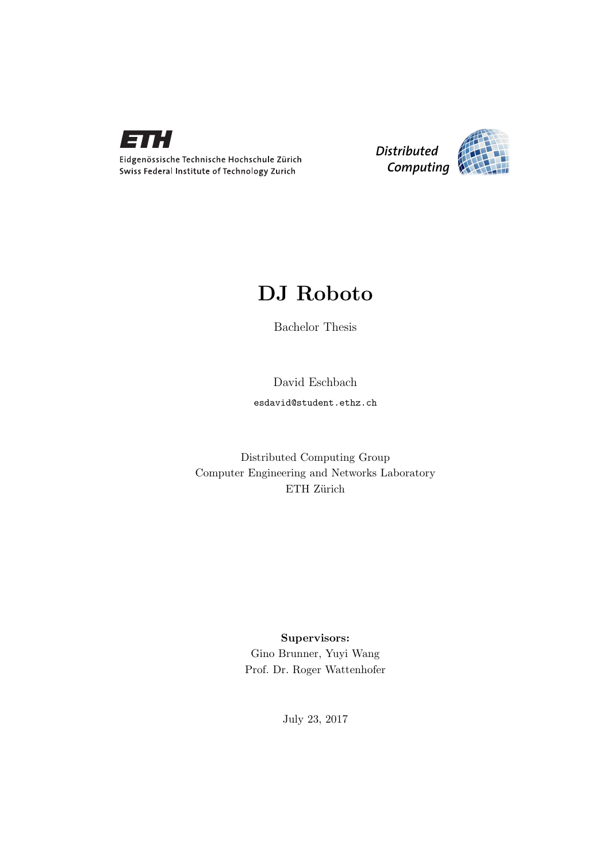

Eidgenössische Technische Hochschule Zürich Swiss Federal Institute of Technology Zurich



## DJ Roboto

Bachelor Thesis

David Eschbach

esdavid@student.ethz.ch

Distributed Computing Group Computer Engineering and Networks Laboratory ETH Zürich

## Supervisors:

Gino Brunner, Yuyi Wang Prof. Dr. Roger Wattenhofer

July 23, 2017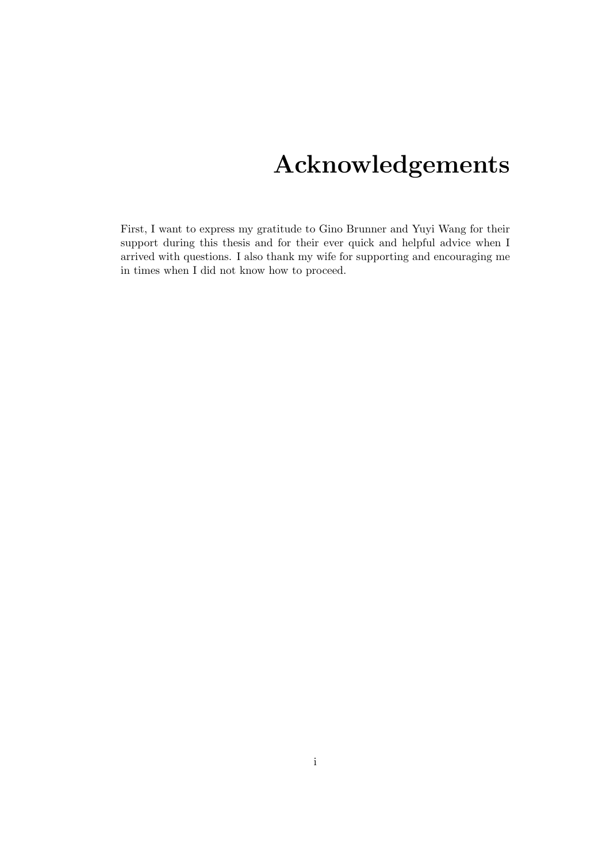# Acknowledgements

<span id="page-1-0"></span>First, I want to express my gratitude to Gino Brunner and Yuyi Wang for their support during this thesis and for their ever quick and helpful advice when I arrived with questions. I also thank my wife for supporting and encouraging me in times when I did not know how to proceed.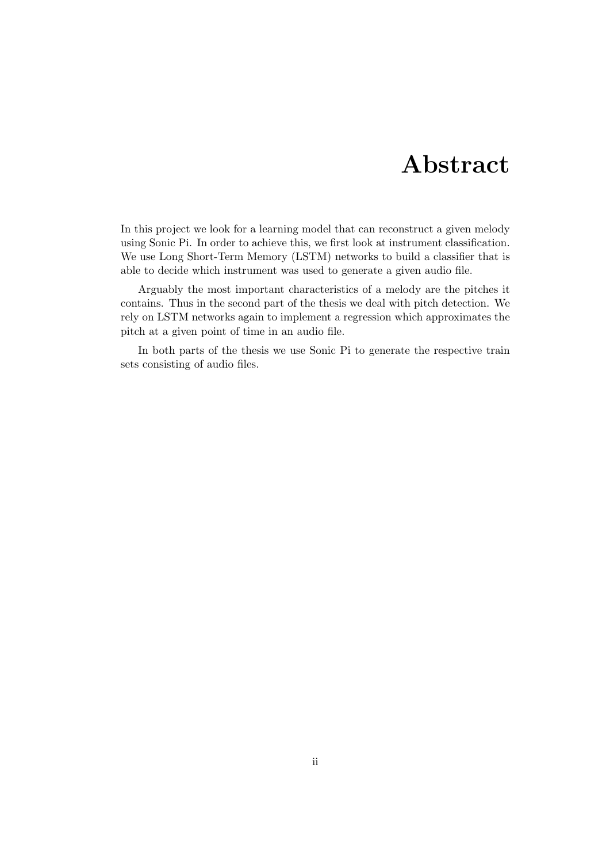## Abstract

<span id="page-2-0"></span>In this project we look for a learning model that can reconstruct a given melody using Sonic Pi. In order to achieve this, we first look at instrument classification. We use Long Short-Term Memory (LSTM) networks to build a classifier that is able to decide which instrument was used to generate a given audio file.

Arguably the most important characteristics of a melody are the pitches it contains. Thus in the second part of the thesis we deal with pitch detection. We rely on LSTM networks again to implement a regression which approximates the pitch at a given point of time in an audio file.

In both parts of the thesis we use Sonic Pi to generate the respective train sets consisting of audio files.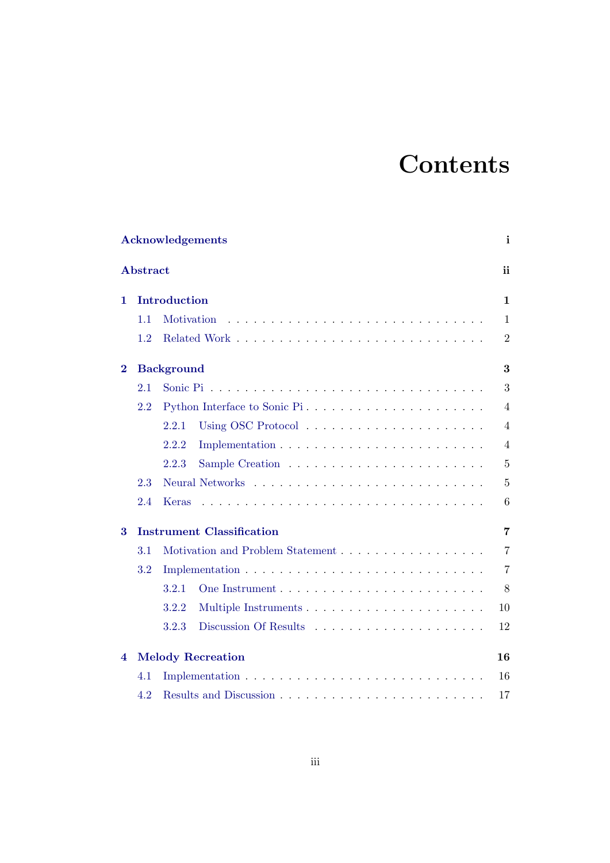# **Contents**

|          |                 | <b>Acknowledgements</b>          | i              |
|----------|-----------------|----------------------------------|----------------|
|          | <b>Abstract</b> |                                  | ii             |
| 1.       |                 | Introduction                     | $\mathbf{1}$   |
|          | 1.1             | Motivation                       | $\mathbf{1}$   |
|          | 1.2             |                                  | $\overline{2}$ |
| $\bf{2}$ |                 | <b>Background</b>                | 3              |
|          | 2.1             |                                  | 3              |
|          | 2.2             | Python Interface to Sonic Pi     | $\overline{4}$ |
|          |                 | 2.2.1                            | $\overline{4}$ |
|          |                 | 2.2.2                            | $\overline{4}$ |
|          |                 | 2.2.3                            | $\overline{5}$ |
|          | 2.3             |                                  | 5              |
|          | 2.4             | Keras                            | 6              |
| 3        |                 | <b>Instrument Classification</b> | $\overline{7}$ |
|          | 3.1             | Motivation and Problem Statement | $\overline{7}$ |
|          | 3.2             |                                  | $\overline{7}$ |
|          |                 | 3.2.1                            | 8              |
|          |                 | 3.2.2                            | 10             |
|          |                 | 3.2.3                            | 12             |
| 4        |                 | <b>Melody Recreation</b>         | 16             |
|          | 4.1             |                                  | 16             |
|          | 4.2             |                                  | 17             |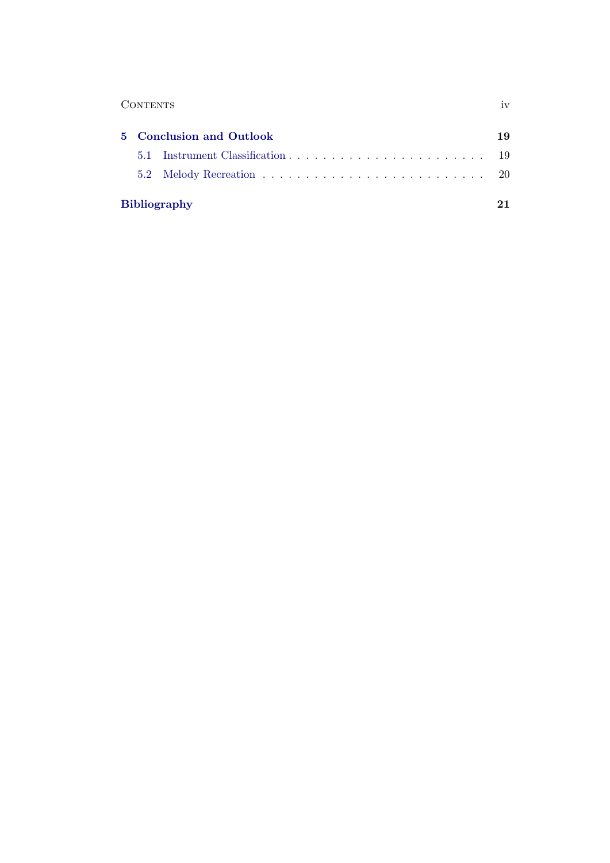| 1 <sub>1</sub> |
|----------------|
|                |

| 5 Conclusion and Outlook |                     |  |  |
|--------------------------|---------------------|--|--|
|                          |                     |  |  |
|                          |                     |  |  |
|                          | <b>Bibliography</b> |  |  |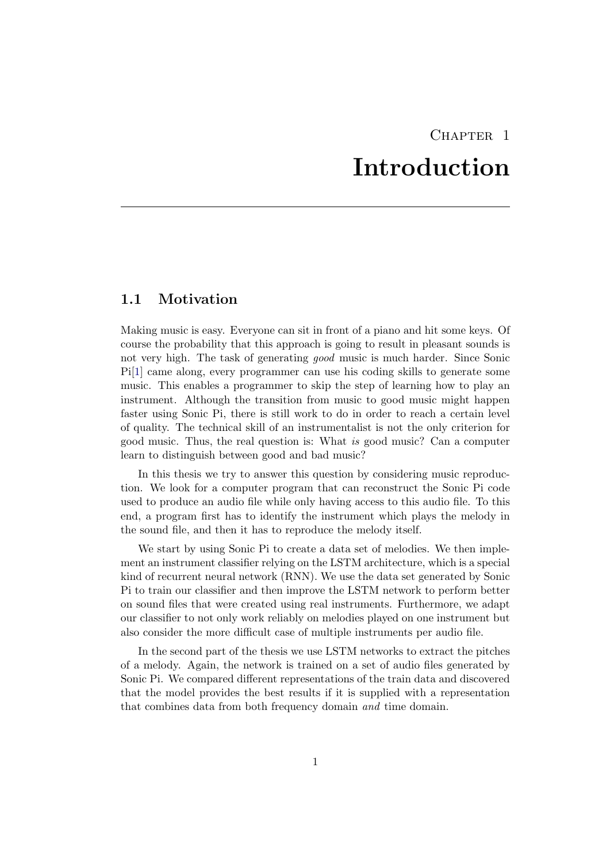## CHAPTER<sub>1</sub> Introduction

## <span id="page-5-1"></span><span id="page-5-0"></span>1.1 Motivation

Making music is easy. Everyone can sit in front of a piano and hit some keys. Of course the probability that this approach is going to result in pleasant sounds is not very high. The task of generating good music is much harder. Since Sonic Pi[\[1\]](#page-25-1) came along, every programmer can use his coding skills to generate some music. This enables a programmer to skip the step of learning how to play an instrument. Although the transition from music to good music might happen faster using Sonic Pi, there is still work to do in order to reach a certain level of quality. The technical skill of an instrumentalist is not the only criterion for good music. Thus, the real question is: What is good music? Can a computer learn to distinguish between good and bad music?

In this thesis we try to answer this question by considering music reproduction. We look for a computer program that can reconstruct the Sonic Pi code used to produce an audio file while only having access to this audio file. To this end, a program first has to identify the instrument which plays the melody in the sound file, and then it has to reproduce the melody itself.

We start by using Sonic Pi to create a data set of melodies. We then implement an instrument classifier relying on the LSTM architecture, which is a special kind of recurrent neural network (RNN). We use the data set generated by Sonic Pi to train our classifier and then improve the LSTM network to perform better on sound files that were created using real instruments. Furthermore, we adapt our classifier to not only work reliably on melodies played on one instrument but also consider the more difficult case of multiple instruments per audio file.

In the second part of the thesis we use LSTM networks to extract the pitches of a melody. Again, the network is trained on a set of audio files generated by Sonic Pi. We compared different representations of the train data and discovered that the model provides the best results if it is supplied with a representation that combines data from both frequency domain and time domain.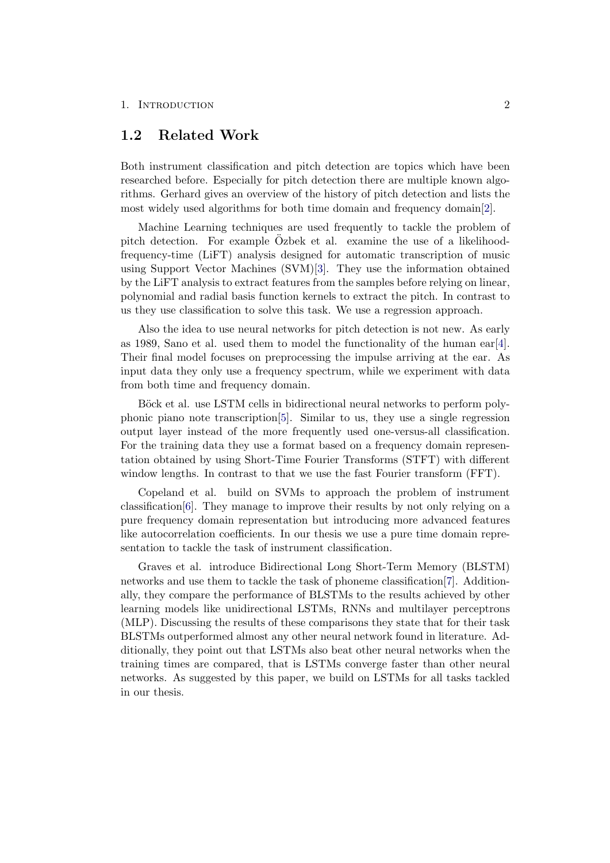#### 1. INTRODUCTION 2

### <span id="page-6-0"></span>1.2 Related Work

Both instrument classification and pitch detection are topics which have been researched before. Especially for pitch detection there are multiple known algorithms. Gerhard gives an overview of the history of pitch detection and lists the most widely used algorithms for both time domain and frequency domain[\[2\]](#page-25-2).

Machine Learning techniques are used frequently to tackle the problem of pitch detection. For example Ozbek et al. examine the use of a likelihoodfrequency-time (LiFT) analysis designed for automatic transcription of music using Support Vector Machines (SVM)[\[3\]](#page-25-3). They use the information obtained by the LiFT analysis to extract features from the samples before relying on linear, polynomial and radial basis function kernels to extract the pitch. In contrast to us they use classification to solve this task. We use a regression approach.

Also the idea to use neural networks for pitch detection is not new. As early as 1989, Sano et al. used them to model the functionality of the human ear [\[4\]](#page-25-4). Their final model focuses on preprocessing the impulse arriving at the ear. As input data they only use a frequency spectrum, while we experiment with data from both time and frequency domain.

Böck et al. use LSTM cells in bidirectional neural networks to perform polyphonic piano note transcription[\[5\]](#page-25-5). Similar to us, they use a single regression output layer instead of the more frequently used one-versus-all classification. For the training data they use a format based on a frequency domain representation obtained by using Short-Time Fourier Transforms (STFT) with different window lengths. In contrast to that we use the fast Fourier transform (FFT).

Copeland et al. build on SVMs to approach the problem of instrument classification[\[6\]](#page-25-6). They manage to improve their results by not only relying on a pure frequency domain representation but introducing more advanced features like autocorrelation coefficients. In our thesis we use a pure time domain representation to tackle the task of instrument classification.

Graves et al. introduce Bidirectional Long Short-Term Memory (BLSTM) networks and use them to tackle the task of phoneme classification[\[7\]](#page-25-7). Additionally, they compare the performance of BLSTMs to the results achieved by other learning models like unidirectional LSTMs, RNNs and multilayer perceptrons (MLP). Discussing the results of these comparisons they state that for their task BLSTMs outperformed almost any other neural network found in literature. Additionally, they point out that LSTMs also beat other neural networks when the training times are compared, that is LSTMs converge faster than other neural networks. As suggested by this paper, we build on LSTMs for all tasks tackled in our thesis.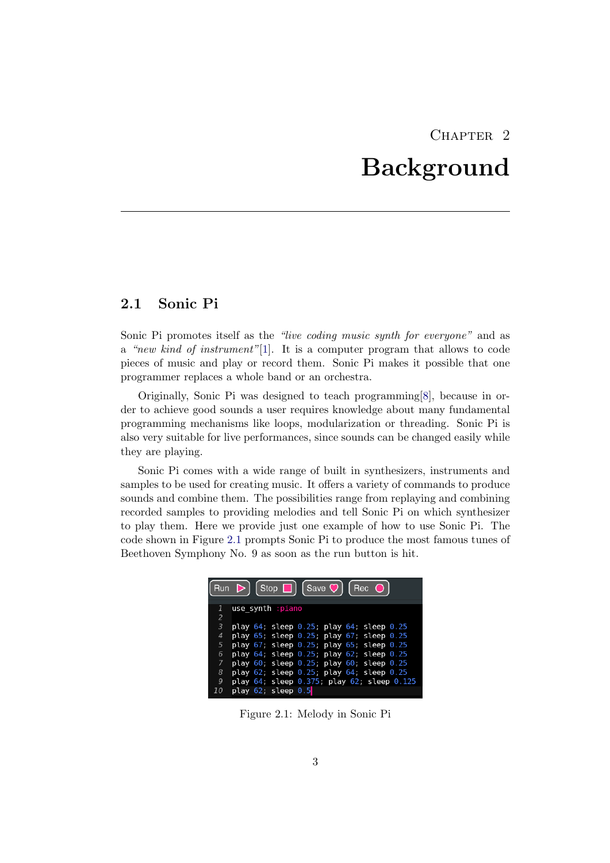## CHAPTER<sub>2</sub> Background

## <span id="page-7-1"></span><span id="page-7-0"></span>2.1 Sonic Pi

Sonic Pi promotes itself as the "live coding music synth for everyone" and as a "new kind of instrument"[\[1\]](#page-25-1). It is a computer program that allows to code pieces of music and play or record them. Sonic Pi makes it possible that one programmer replaces a whole band or an orchestra.

Originally, Sonic Pi was designed to teach programming[\[8\]](#page-25-8), because in order to achieve good sounds a user requires knowledge about many fundamental programming mechanisms like loops, modularization or threading. Sonic Pi is also very suitable for live performances, since sounds can be changed easily while they are playing.

Sonic Pi comes with a wide range of built in synthesizers, instruments and samples to be used for creating music. It offers a variety of commands to produce sounds and combine them. The possibilities range from replaying and combining recorded samples to providing melodies and tell Sonic Pi on which synthesizer to play them. Here we provide just one example of how to use Sonic Pi. The code shown in Figure [2.1](#page-7-2) prompts Sonic Pi to produce the most famous tunes of Beethoven Symphony No. 9 as soon as the run button is hit.

<span id="page-7-2"></span>

Figure 2.1: Melody in Sonic Pi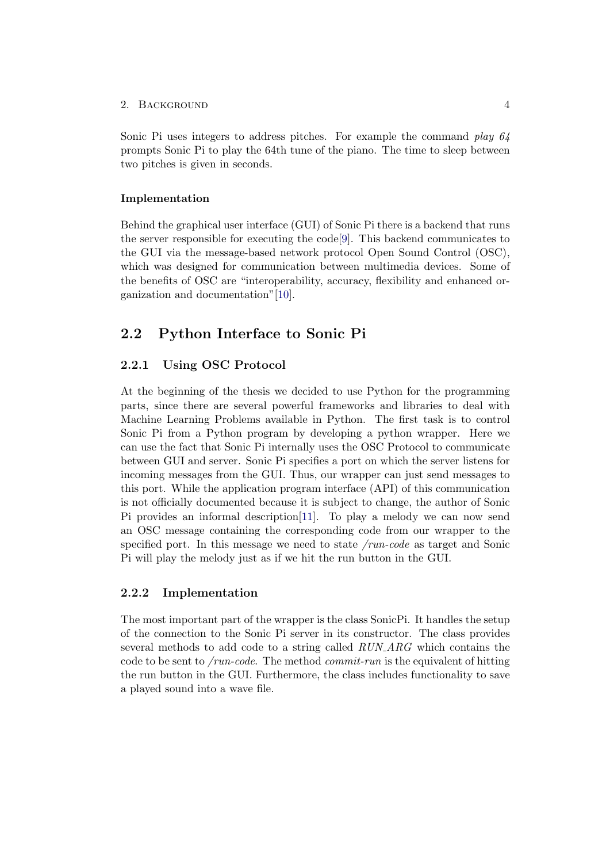#### 2. BACKGROUND 4

Sonic Pi uses integers to address pitches. For example the command play 64 prompts Sonic Pi to play the 64th tune of the piano. The time to sleep between two pitches is given in seconds.

#### Implementation

Behind the graphical user interface (GUI) of Sonic Pi there is a backend that runs the server responsible for executing the  $\text{code}[9]$  $\text{code}[9]$ . This backend communicates to the GUI via the message-based network protocol Open Sound Control (OSC), which was designed for communication between multimedia devices. Some of the benefits of OSC are "interoperability, accuracy, flexibility and enhanced organization and documentation"[\[10\]](#page-25-10).

## <span id="page-8-0"></span>2.2 Python Interface to Sonic Pi

#### <span id="page-8-1"></span>2.2.1 Using OSC Protocol

At the beginning of the thesis we decided to use Python for the programming parts, since there are several powerful frameworks and libraries to deal with Machine Learning Problems available in Python. The first task is to control Sonic Pi from a Python program by developing a python wrapper. Here we can use the fact that Sonic Pi internally uses the OSC Protocol to communicate between GUI and server. Sonic Pi specifies a port on which the server listens for incoming messages from the GUI. Thus, our wrapper can just send messages to this port. While the application program interface (API) of this communication is not officially documented because it is subject to change, the author of Sonic Pi provides an informal description[\[11\]](#page-25-11). To play a melody we can now send an OSC message containing the corresponding code from our wrapper to the specified port. In this message we need to state /run-code as target and Sonic Pi will play the melody just as if we hit the run button in the GUI.

#### <span id="page-8-2"></span>2.2.2 Implementation

The most important part of the wrapper is the class SonicPi. It handles the setup of the connection to the Sonic Pi server in its constructor. The class provides several methods to add code to a string called RUN ARG which contains the code to be sent to /run-code. The method commit-run is the equivalent of hitting the run button in the GUI. Furthermore, the class includes functionality to save a played sound into a wave file.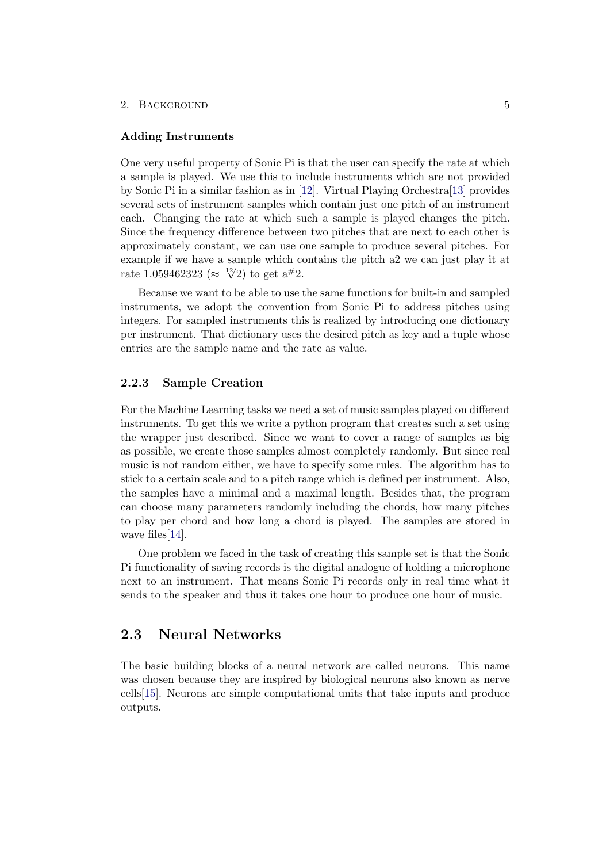#### 2. BACKGROUND 5

#### <span id="page-9-2"></span>Adding Instruments

One very useful property of Sonic Pi is that the user can specify the rate at which a sample is played. We use this to include instruments which are not provided by Sonic Pi in a similar fashion as in [\[12\]](#page-25-12). Virtual Playing Orchestra[\[13\]](#page-26-0) provides several sets of instrument samples which contain just one pitch of an instrument each. Changing the rate at which such a sample is played changes the pitch. Since the frequency difference between two pitches that are next to each other is approximately constant, we can use one sample to produce several pitches. For example if we have a sample which contains the pitch a2 we can just play it at note 1.050469292 ( $\approx$   $\frac{12}{9}$ ) to get  $e^{\#2}$ rate 1.059462323 ( $\approx \sqrt[12]{2}$ ) to get  $a^{\#2}$ .

Because we want to be able to use the same functions for built-in and sampled instruments, we adopt the convention from Sonic Pi to address pitches using integers. For sampled instruments this is realized by introducing one dictionary per instrument. That dictionary uses the desired pitch as key and a tuple whose entries are the sample name and the rate as value.

#### <span id="page-9-0"></span>2.2.3 Sample Creation

For the Machine Learning tasks we need a set of music samples played on different instruments. To get this we write a python program that creates such a set using the wrapper just described. Since we want to cover a range of samples as big as possible, we create those samples almost completely randomly. But since real music is not random either, we have to specify some rules. The algorithm has to stick to a certain scale and to a pitch range which is defined per instrument. Also, the samples have a minimal and a maximal length. Besides that, the program can choose many parameters randomly including the chords, how many pitches to play per chord and how long a chord is played. The samples are stored in wave files [\[14\]](#page-26-1).

One problem we faced in the task of creating this sample set is that the Sonic Pi functionality of saving records is the digital analogue of holding a microphone next to an instrument. That means Sonic Pi records only in real time what it sends to the speaker and thus it takes one hour to produce one hour of music.

## <span id="page-9-1"></span>2.3 Neural Networks

The basic building blocks of a neural network are called neurons. This name was chosen because they are inspired by biological neurons also known as nerve cells[\[15\]](#page-26-2). Neurons are simple computational units that take inputs and produce outputs.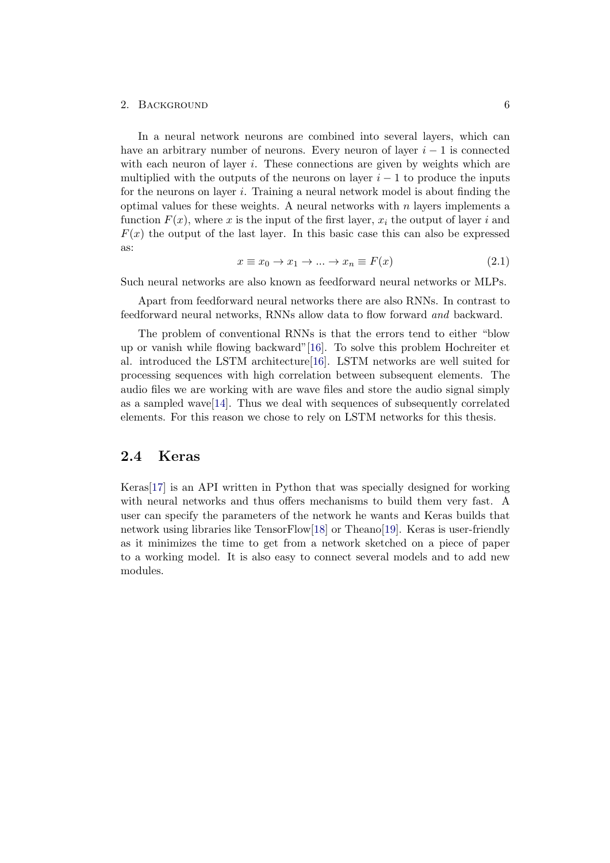#### 2. BACKGROUND 6

In a neural network neurons are combined into several layers, which can have an arbitrary number of neurons. Every neuron of layer  $i - 1$  is connected with each neuron of layer  $i$ . These connections are given by weights which are multiplied with the outputs of the neurons on layer  $i - 1$  to produce the inputs for the neurons on layer i. Training a neural network model is about finding the optimal values for these weights. A neural networks with  $n$  layers implements a function  $F(x)$ , where x is the input of the first layer,  $x_i$  the output of layer i and  $F(x)$  the output of the last layer. In this basic case this can also be expressed as:

$$
x \equiv x_0 \to x_1 \to \dots \to x_n \equiv F(x) \tag{2.1}
$$

Such neural networks are also known as feedforward neural networks or MLPs.

Apart from feedforward neural networks there are also RNNs. In contrast to feedforward neural networks, RNNs allow data to flow forward and backward.

The problem of conventional RNNs is that the errors tend to either "blow up or vanish while flowing backward"[\[16\]](#page-26-3). To solve this problem Hochreiter et al. introduced the LSTM architecture[\[16\]](#page-26-3). LSTM networks are well suited for processing sequences with high correlation between subsequent elements. The audio files we are working with are wave files and store the audio signal simply as a sampled wave  $[14]$ . Thus we deal with sequences of subsequently correlated elements. For this reason we chose to rely on LSTM networks for this thesis.

### <span id="page-10-0"></span>2.4 Keras

Keras[\[17\]](#page-26-4) is an API written in Python that was specially designed for working with neural networks and thus offers mechanisms to build them very fast. A user can specify the parameters of the network he wants and Keras builds that network using libraries like TensorFlow[\[18\]](#page-26-5) or Theano[\[19\]](#page-26-6). Keras is user-friendly as it minimizes the time to get from a network sketched on a piece of paper to a working model. It is also easy to connect several models and to add new modules.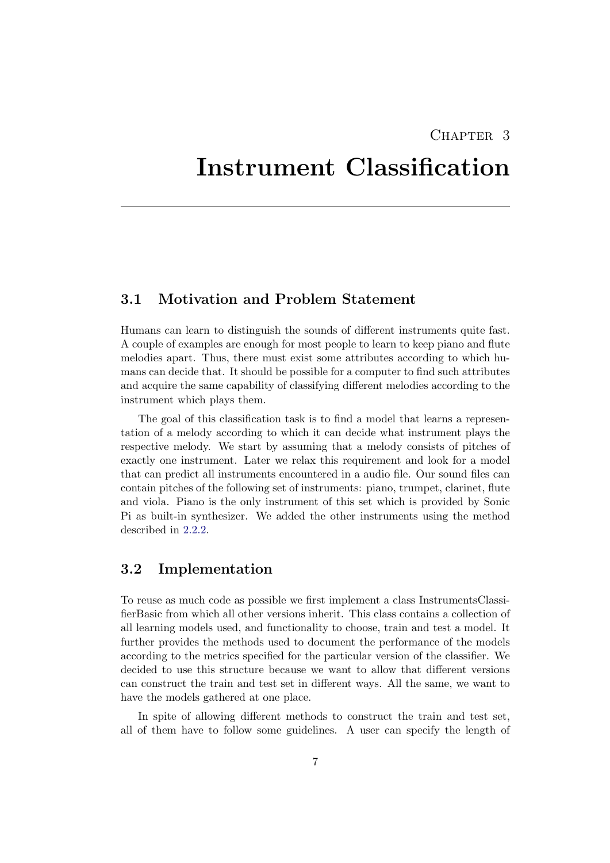## CHAPTER 3

## <span id="page-11-0"></span>Instrument Classification

## <span id="page-11-1"></span>3.1 Motivation and Problem Statement

Humans can learn to distinguish the sounds of different instruments quite fast. A couple of examples are enough for most people to learn to keep piano and flute melodies apart. Thus, there must exist some attributes according to which humans can decide that. It should be possible for a computer to find such attributes and acquire the same capability of classifying different melodies according to the instrument which plays them.

The goal of this classification task is to find a model that learns a representation of a melody according to which it can decide what instrument plays the respective melody. We start by assuming that a melody consists of pitches of exactly one instrument. Later we relax this requirement and look for a model that can predict all instruments encountered in a audio file. Our sound files can contain pitches of the following set of instruments: piano, trumpet, clarinet, flute and viola. Piano is the only instrument of this set which is provided by Sonic Pi as built-in synthesizer. We added the other instruments using the method described in [2.2.2.](#page-9-2)

## <span id="page-11-2"></span>3.2 Implementation

To reuse as much code as possible we first implement a class InstrumentsClassifierBasic from which all other versions inherit. This class contains a collection of all learning models used, and functionality to choose, train and test a model. It further provides the methods used to document the performance of the models according to the metrics specified for the particular version of the classifier. We decided to use this structure because we want to allow that different versions can construct the train and test set in different ways. All the same, we want to have the models gathered at one place.

In spite of allowing different methods to construct the train and test set, all of them have to follow some guidelines. A user can specify the length of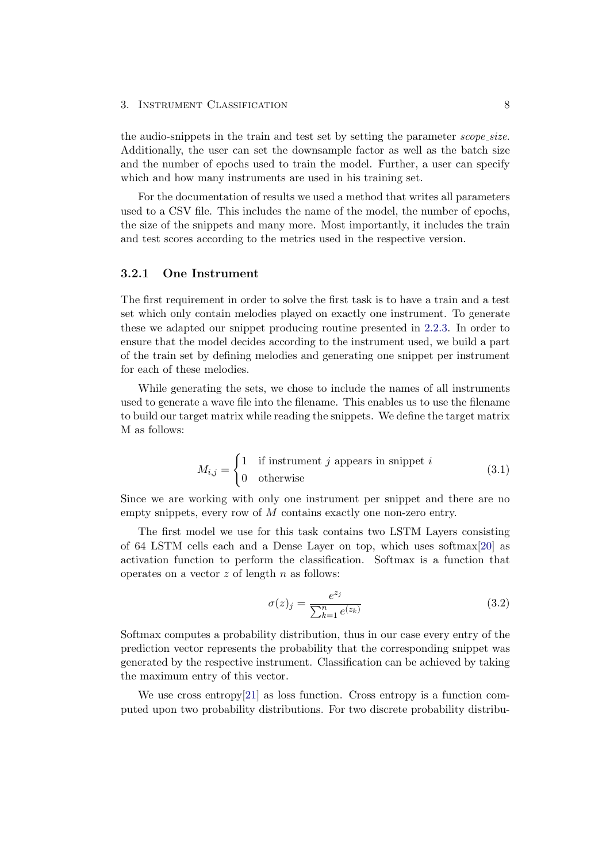the audio-snippets in the train and test set by setting the parameter *scope\_size*. Additionally, the user can set the downsample factor as well as the batch size and the number of epochs used to train the model. Further, a user can specify which and how many instruments are used in his training set.

For the documentation of results we used a method that writes all parameters used to a CSV file. This includes the name of the model, the number of epochs, the size of the snippets and many more. Most importantly, it includes the train and test scores according to the metrics used in the respective version.

#### <span id="page-12-0"></span>3.2.1 One Instrument

The first requirement in order to solve the first task is to have a train and a test set which only contain melodies played on exactly one instrument. To generate these we adapted our snippet producing routine presented in [2.2.3.](#page-9-0) In order to ensure that the model decides according to the instrument used, we build a part of the train set by defining melodies and generating one snippet per instrument for each of these melodies.

While generating the sets, we chose to include the names of all instruments used to generate a wave file into the filename. This enables us to use the filename to build our target matrix while reading the snippets. We define the target matrix M as follows:

$$
M_{i,j} = \begin{cases} 1 & \text{if instrument } j \text{ appears in snippet } i \\ 0 & \text{otherwise} \end{cases} \tag{3.1}
$$

Since we are working with only one instrument per snippet and there are no empty snippets, every row of  $M$  contains exactly one non-zero entry.

The first model we use for this task contains two LSTM Layers consisting of 64 LSTM cells each and a Dense Layer on top, which uses softmax[\[20\]](#page-26-7) as activation function to perform the classification. Softmax is a function that operates on a vector  $z$  of length  $n$  as follows:

$$
\sigma(z)_j = \frac{e^{z_j}}{\sum_{k=1}^n e^{(z_k)}}\tag{3.2}
$$

Softmax computes a probability distribution, thus in our case every entry of the prediction vector represents the probability that the corresponding snippet was generated by the respective instrument. Classification can be achieved by taking the maximum entry of this vector.

We use cross entropy  $[21]$  as loss function. Cross entropy is a function computed upon two probability distributions. For two discrete probability distribu-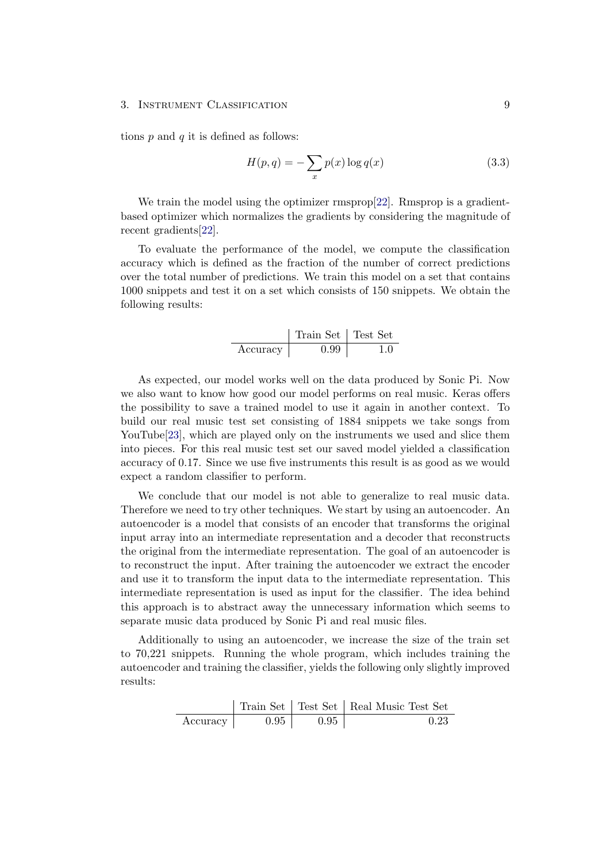tions  $p$  and  $q$  it is defined as follows:

$$
H(p,q) = -\sum_{x} p(x) \log q(x) \tag{3.3}
$$

We train the model using the optimizer rmsprop[\[22\]](#page-26-9). Rmsprop is a gradientbased optimizer which normalizes the gradients by considering the magnitude of recent gradients[\[22\]](#page-26-9).

To evaluate the performance of the model, we compute the classification accuracy which is defined as the fraction of the number of correct predictions over the total number of predictions. We train this model on a set that contains 1000 snippets and test it on a set which consists of 150 snippets. We obtain the following results:

|          | Train Set   Test Set |  |
|----------|----------------------|--|
| Accuracy | 0.99                 |  |

As expected, our model works well on the data produced by Sonic Pi. Now we also want to know how good our model performs on real music. Keras offers the possibility to save a trained model to use it again in another context. To build our real music test set consisting of 1884 snippets we take songs from YouTube<sup>[\[23\]](#page-26-10)</sup>, which are played only on the instruments we used and slice them into pieces. For this real music test set our saved model yielded a classification accuracy of 0.17. Since we use five instruments this result is as good as we would expect a random classifier to perform.

We conclude that our model is not able to generalize to real music data. Therefore we need to try other techniques. We start by using an autoencoder. An autoencoder is a model that consists of an encoder that transforms the original input array into an intermediate representation and a decoder that reconstructs the original from the intermediate representation. The goal of an autoencoder is to reconstruct the input. After training the autoencoder we extract the encoder and use it to transform the input data to the intermediate representation. This intermediate representation is used as input for the classifier. The idea behind this approach is to abstract away the unnecessary information which seems to separate music data produced by Sonic Pi and real music files.

Additionally to using an autoencoder, we increase the size of the train set to 70,221 snippets. Running the whole program, which includes training the autoencoder and training the classifier, yields the following only slightly improved results:

|          |      |      | Train Set   Test Set   Real Music Test Set |
|----------|------|------|--------------------------------------------|
| Accuracy | 0.95 | 0.95 | 0.23                                       |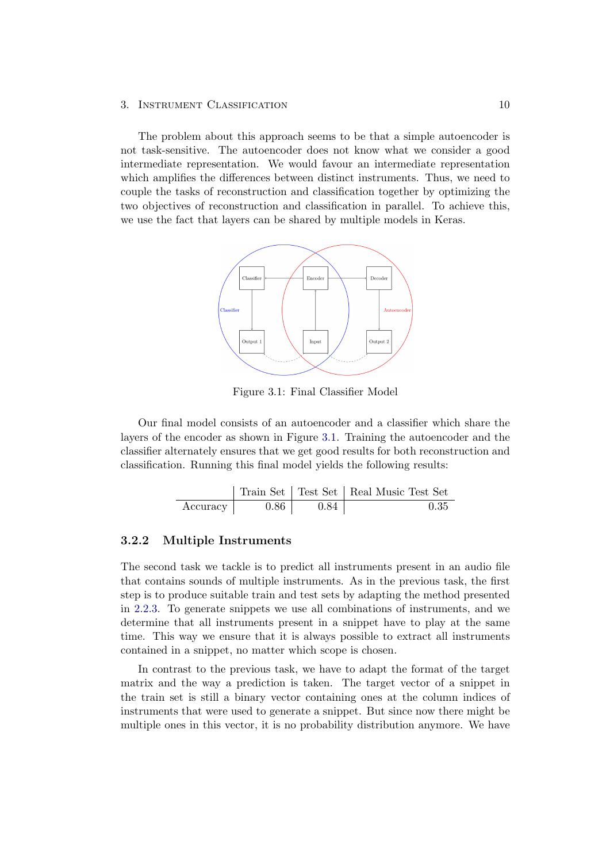The problem about this approach seems to be that a simple autoencoder is not task-sensitive. The autoencoder does not know what we consider a good intermediate representation. We would favour an intermediate representation which amplifies the differences between distinct instruments. Thus, we need to couple the tasks of reconstruction and classification together by optimizing the two objectives of reconstruction and classification in parallel. To achieve this, we use the fact that layers can be shared by multiple models in Keras.



<span id="page-14-1"></span>Figure 3.1: Final Classifier Model

Our final model consists of an autoencoder and a classifier which share the layers of the encoder as shown in Figure [3.1.](#page-14-1) Training the autoencoder and the classifier alternately ensures that we get good results for both reconstruction and classification. Running this final model yields the following results:

|          |      |      | Train Set   Test Set   Real Music Test Set |
|----------|------|------|--------------------------------------------|
| Accuracy | 0.86 | 0.84 | 0.35                                       |

#### <span id="page-14-0"></span>3.2.2 Multiple Instruments

The second task we tackle is to predict all instruments present in an audio file that contains sounds of multiple instruments. As in the previous task, the first step is to produce suitable train and test sets by adapting the method presented in [2.2.3.](#page-9-0) To generate snippets we use all combinations of instruments, and we determine that all instruments present in a snippet have to play at the same time. This way we ensure that it is always possible to extract all instruments contained in a snippet, no matter which scope is chosen.

In contrast to the previous task, we have to adapt the format of the target matrix and the way a prediction is taken. The target vector of a snippet in the train set is still a binary vector containing ones at the column indices of instruments that were used to generate a snippet. But since now there might be multiple ones in this vector, it is no probability distribution anymore. We have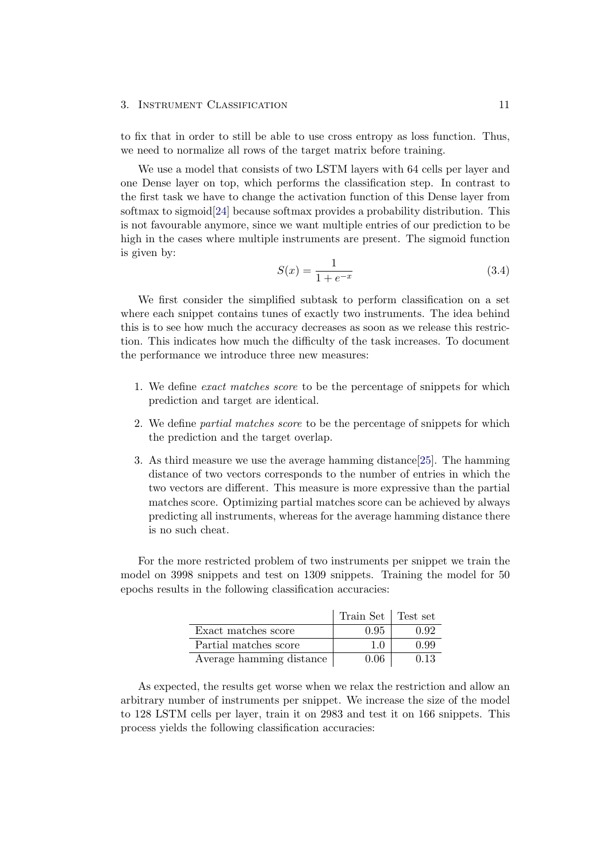to fix that in order to still be able to use cross entropy as loss function. Thus, we need to normalize all rows of the target matrix before training.

We use a model that consists of two LSTM layers with 64 cells per layer and one Dense layer on top, which performs the classification step. In contrast to the first task we have to change the activation function of this Dense layer from softmax to sigmoid[\[24\]](#page-26-11) because softmax provides a probability distribution. This is not favourable anymore, since we want multiple entries of our prediction to be high in the cases where multiple instruments are present. The sigmoid function is given by:

$$
S(x) = \frac{1}{1 + e^{-x}}
$$
\n(3.4)

We first consider the simplified subtask to perform classification on a set where each snippet contains tunes of exactly two instruments. The idea behind this is to see how much the accuracy decreases as soon as we release this restriction. This indicates how much the difficulty of the task increases. To document the performance we introduce three new measures:

- 1. We define exact matches score to be the percentage of snippets for which prediction and target are identical.
- 2. We define partial matches score to be the percentage of snippets for which the prediction and the target overlap.
- 3. As third measure we use the average hamming distance[\[25\]](#page-26-12). The hamming distance of two vectors corresponds to the number of entries in which the two vectors are different. This measure is more expressive than the partial matches score. Optimizing partial matches score can be achieved by always predicting all instruments, whereas for the average hamming distance there is no such cheat.

For the more restricted problem of two instruments per snippet we train the model on 3998 snippets and test on 1309 snippets. Training the model for 50 epochs results in the following classification accuracies:

|                          | Train Set   Test set |      |
|--------------------------|----------------------|------|
| Exact matches score      | 0.95                 | 0.92 |
| Partial matches score    | 1.0                  | O 99 |
| Average hamming distance | 0.06                 | 0.13 |

As expected, the results get worse when we relax the restriction and allow an arbitrary number of instruments per snippet. We increase the size of the model to 128 LSTM cells per layer, train it on 2983 and test it on 166 snippets. This process yields the following classification accuracies: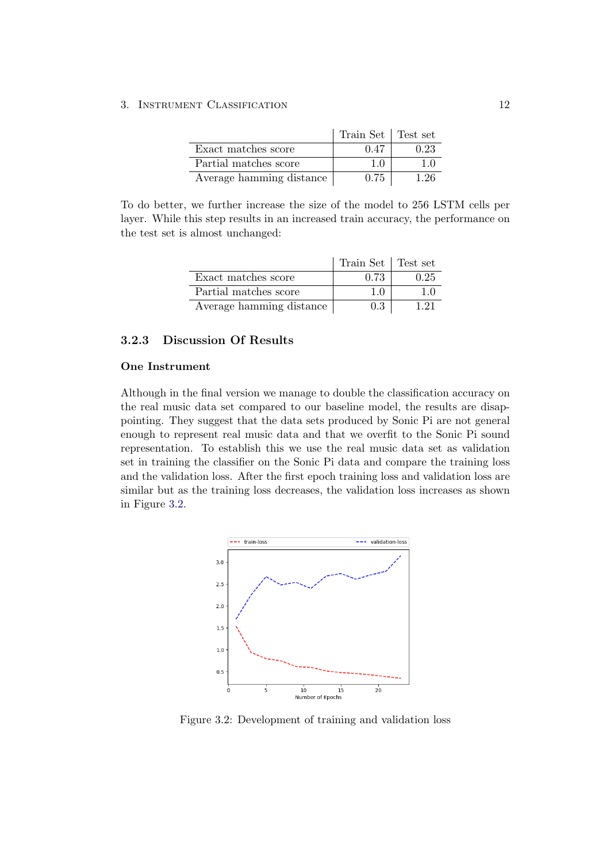|                          | Train Set Test set |      |
|--------------------------|--------------------|------|
| Exact matches score      | 0.47               | 0.23 |
| Partial matches score    | 1.0                | 10   |
| Average hamming distance | 0.75               | 1 26 |

To do better, we further increase the size of the model to 256 LSTM cells per layer. While this step results in an increased train accuracy, the performance on the test set is almost unchanged:

|                          | Train Set   Test set |      |
|--------------------------|----------------------|------|
| Exact matches score      | 0.73                 | 0.25 |
| Partial matches score    | 10                   | 10   |
| Average hamming distance | 0.3                  | 121  |

### <span id="page-16-0"></span>3.2.3 Discussion Of Results

#### <span id="page-16-2"></span>One Instrument

Although in the final version we manage to double the classification accuracy on the real music data set compared to our baseline model, the results are disappointing. They suggest that the data sets produced by Sonic Pi are not general enough to represent real music data and that we overfit to the Sonic Pi sound representation. To establish this we use the real music data set as validation set in training the classifier on the Sonic Pi data and compare the training loss and the validation loss. After the first epoch training loss and validation loss are similar but as the training loss decreases, the validation loss increases as shown in Figure [3.2.](#page-16-1)



<span id="page-16-1"></span>Figure 3.2: Development of training and validation loss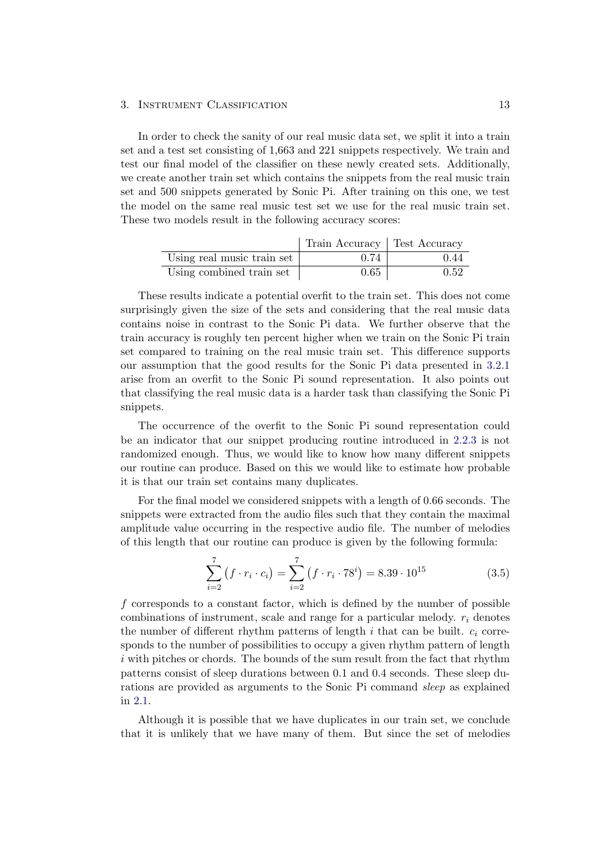In order to check the sanity of our real music data set, we split it into a train set and a test set consisting of 1,663 and 221 snippets respectively. We train and test our final model of the classifier on these newly created sets. Additionally, we create another train set which contains the snippets from the real music train set and 500 snippets generated by Sonic Pi. After training on this one, we test the model on the same real music test set we use for the real music train set. These two models result in the following accuracy scores:

|                            | Train Accuracy   Test Accuracy |      |
|----------------------------|--------------------------------|------|
| Using real music train set | 0.74                           | 0.44 |
| Using combined train set   | 0.65                           | 0.52 |

These results indicate a potential overfit to the train set. This does not come surprisingly given the size of the sets and considering that the real music data contains noise in contrast to the Sonic Pi data. We further observe that the train accuracy is roughly ten percent higher when we train on the Sonic Pi train set compared to training on the real music train set. This difference supports our assumption that the good results for the Sonic Pi data presented in [3.2.1](#page-12-0) arise from an overfit to the Sonic Pi sound representation. It also points out that classifying the real music data is a harder task than classifying the Sonic Pi snippets.

The occurrence of the overfit to the Sonic Pi sound representation could be an indicator that our snippet producing routine introduced in [2.2.3](#page-9-0) is not randomized enough. Thus, we would like to know how many different snippets our routine can produce. Based on this we would like to estimate how probable it is that our train set contains many duplicates.

For the final model we considered snippets with a length of 0.66 seconds. The snippets were extracted from the audio files such that they contain the maximal amplitude value occurring in the respective audio file. The number of melodies of this length that our routine can produce is given by the following formula:

$$
\sum_{i=2}^{7} (f \cdot r_i \cdot c_i) = \sum_{i=2}^{7} (f \cdot r_i \cdot 78^i) = 8.39 \cdot 10^{15}
$$
 (3.5)

f corresponds to a constant factor, which is defined by the number of possible combinations of instrument, scale and range for a particular melody.  $r_i$  denotes the number of different rhythm patterns of length i that can be built.  $c_i$  corresponds to the number of possibilities to occupy a given rhythm pattern of length i with pitches or chords. The bounds of the sum result from the fact that rhythm patterns consist of sleep durations between 0.1 and 0.4 seconds. These sleep durations are provided as arguments to the Sonic Pi command sleep as explained in [2.1.](#page-7-1)

Although it is possible that we have duplicates in our train set, we conclude that it is unlikely that we have many of them. But since the set of melodies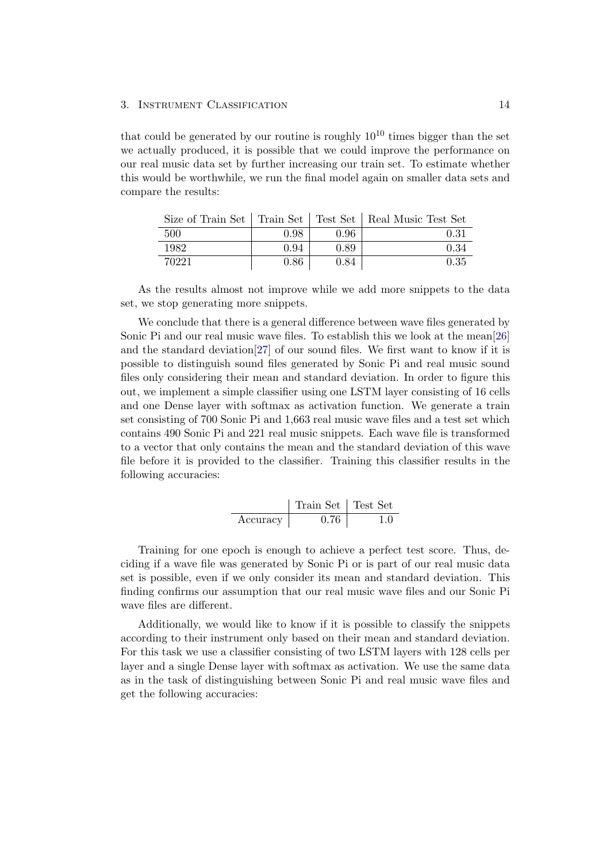that could be generated by our routine is roughly  $10^{10}$  times bigger than the set we actually produced, it is possible that we could improve the performance on our real music data set by further increasing our train set. To estimate whether this would be worthwhile, we run the final model again on smaller data sets and compare the results:

|       |      |      | Size of Train Set   Train Set   Test Set   Real Music Test Set |
|-------|------|------|----------------------------------------------------------------|
| -500  | 0.98 | 0.96 | 0.31                                                           |
| 1982  | 0.94 | 0.89 | 0.34                                                           |
| 70221 | 0.86 | 0.84 | 0.35                                                           |

As the results almost not improve while we add more snippets to the data set, we stop generating more snippets.

We conclude that there is a general difference between wave files generated by Sonic Pi and our real music wave files. To establish this we look at the mean[\[26\]](#page-26-13) and the standard deviation[\[27\]](#page-26-14) of our sound files. We first want to know if it is possible to distinguish sound files generated by Sonic Pi and real music sound files only considering their mean and standard deviation. In order to figure this out, we implement a simple classifier using one LSTM layer consisting of 16 cells and one Dense layer with softmax as activation function. We generate a train set consisting of 700 Sonic Pi and 1,663 real music wave files and a test set which contains 490 Sonic Pi and 221 real music snippets. Each wave file is transformed to a vector that only contains the mean and the standard deviation of this wave file before it is provided to the classifier. Training this classifier results in the following accuracies:

Train Set Test Set Accuracy 0.76 1.0

Training for one epoch is enough to achieve a perfect test score. Thus, deciding if a wave file was generated by Sonic Pi or is part of our real music data set is possible, even if we only consider its mean and standard deviation. This finding confirms our assumption that our real music wave files and our Sonic Pi wave files are different.

Additionally, we would like to know if it is possible to classify the snippets according to their instrument only based on their mean and standard deviation. For this task we use a classifier consisting of two LSTM layers with 128 cells per layer and a single Dense layer with softmax as activation. We use the same data as in the task of distinguishing between Sonic Pi and real music wave files and get the following accuracies: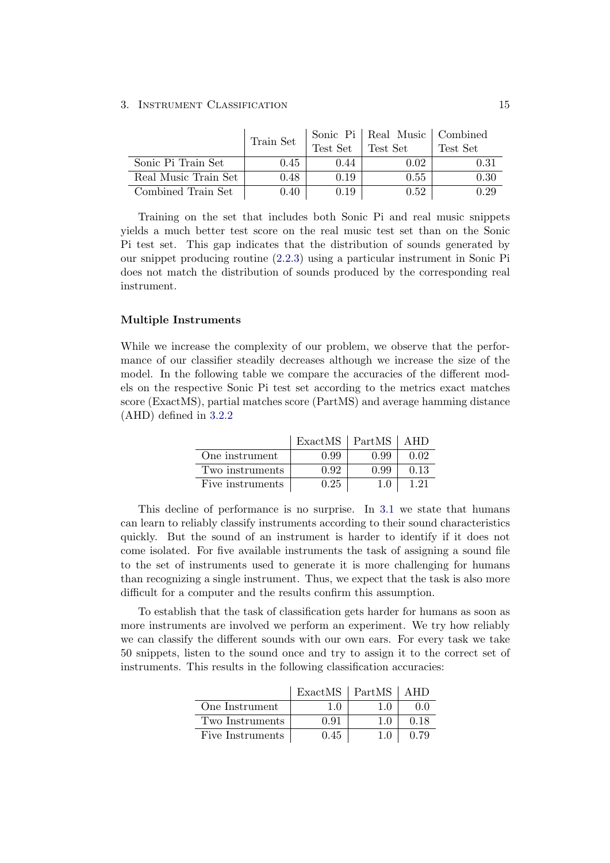|                      | Train Set |          | Sonic Pi   Real Music   Combined |          |
|----------------------|-----------|----------|----------------------------------|----------|
|                      |           | Test Set | Test Set                         | Test Set |
| Sonic Pi Train Set   | 0.45      | 0.44     | 0.02                             | 0.31     |
| Real Music Train Set | 0.48      | 0.19     | 0.55                             | 0.30     |
| Combined Train Set   | 0.40      | 0.19     | 0.52                             |          |

Training on the set that includes both Sonic Pi and real music snippets yields a much better test score on the real music test set than on the Sonic Pi test set. This gap indicates that the distribution of sounds generated by our snippet producing routine [\(2.2.3\)](#page-9-0) using a particular instrument in Sonic Pi does not match the distribution of sounds produced by the corresponding real instrument.

#### Multiple Instruments

While we increase the complexity of our problem, we observe that the performance of our classifier steadily decreases although we increase the size of the model. In the following table we compare the accuracies of the different models on the respective Sonic Pi test set according to the metrics exact matches score (ExactMS), partial matches score (PartMS) and average hamming distance (AHD) defined in [3.2.2](#page-14-0)

|                  | $ExactMS$   PartMS |      |      |
|------------------|--------------------|------|------|
| One instrument   | 0.99               | 0.99 | 0.02 |
| Two instruments  | 0.92               | 0.99 | 0.13 |
| Five instruments | 0.25               | 10   | 121  |

This decline of performance is no surprise. In [3.1](#page-11-1) we state that humans can learn to reliably classify instruments according to their sound characteristics quickly. But the sound of an instrument is harder to identify if it does not come isolated. For five available instruments the task of assigning a sound file to the set of instruments used to generate it is more challenging for humans than recognizing a single instrument. Thus, we expect that the task is also more difficult for a computer and the results confirm this assumption.

To establish that the task of classification gets harder for humans as soon as more instruments are involved we perform an experiment. We try how reliably we can classify the different sounds with our own ears. For every task we take 50 snippets, listen to the sound once and try to assign it to the correct set of instruments. This results in the following classification accuracies:

|                  | ExactMS | $ $ PartMS |      |
|------------------|---------|------------|------|
| One Instrument   | 10      | 1.0        | 00   |
| Two Instruments  | 0.91    |            | 0.18 |
| Five Instruments | 0.45    | 1.0        | 0.79 |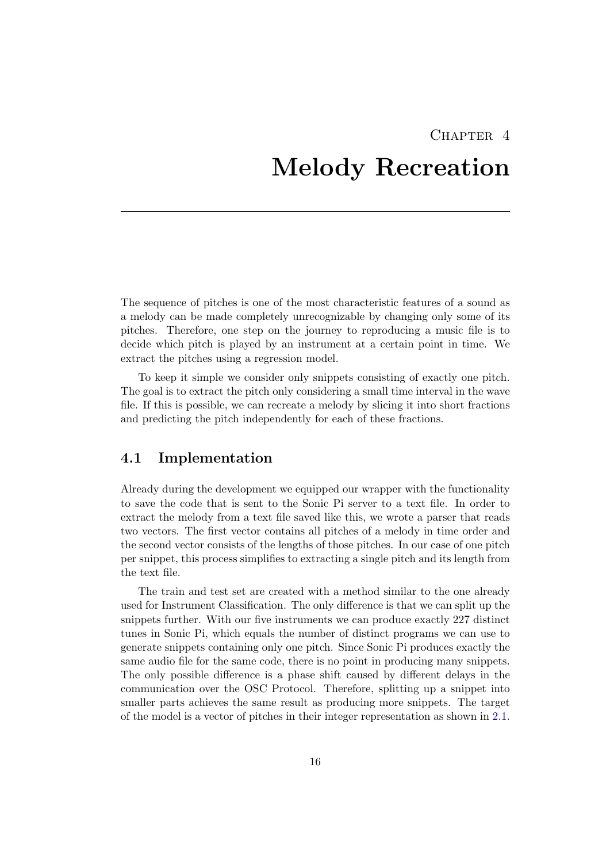## <span id="page-20-0"></span>CHAPTER<sub>4</sub> Melody Recreation

The sequence of pitches is one of the most characteristic features of a sound as a melody can be made completely unrecognizable by changing only some of its pitches. Therefore, one step on the journey to reproducing a music file is to decide which pitch is played by an instrument at a certain point in time. We extract the pitches using a regression model.

To keep it simple we consider only snippets consisting of exactly one pitch. The goal is to extract the pitch only considering a small time interval in the wave file. If this is possible, we can recreate a melody by slicing it into short fractions and predicting the pitch independently for each of these fractions.

## <span id="page-20-1"></span>4.1 Implementation

Already during the development we equipped our wrapper with the functionality to save the code that is sent to the Sonic Pi server to a text file. In order to extract the melody from a text file saved like this, we wrote a parser that reads two vectors. The first vector contains all pitches of a melody in time order and the second vector consists of the lengths of those pitches. In our case of one pitch per snippet, this process simplifies to extracting a single pitch and its length from the text file.

The train and test set are created with a method similar to the one already used for Instrument Classification. The only difference is that we can split up the snippets further. With our five instruments we can produce exactly 227 distinct tunes in Sonic Pi, which equals the number of distinct programs we can use to generate snippets containing only one pitch. Since Sonic Pi produces exactly the same audio file for the same code, there is no point in producing many snippets. The only possible difference is a phase shift caused by different delays in the communication over the OSC Protocol. Therefore, splitting up a snippet into smaller parts achieves the same result as producing more snippets. The target of the model is a vector of pitches in their integer representation as shown in [2.1.](#page-7-1)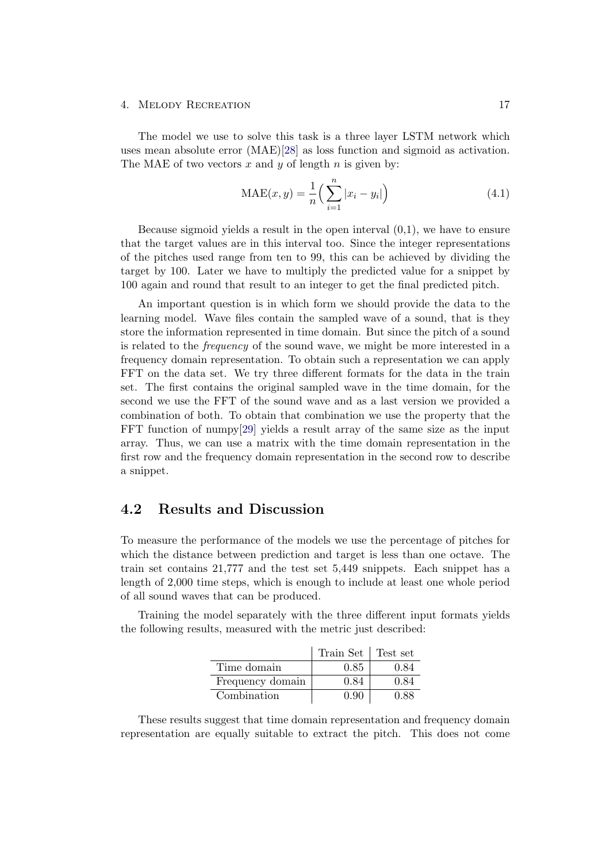#### 4. MELODY RECREATION 17

The model we use to solve this task is a three layer LSTM network which uses mean absolute error (MAE)[\[28\]](#page-26-15) as loss function and sigmoid as activation. The MAE of two vectors x and y of length n is given by:

$$
MAE(x, y) = \frac{1}{n} \left( \sum_{i=1}^{n} |x_i - y_i| \right)
$$
 (4.1)

Because sigmoid yields a result in the open interval  $(0,1)$ , we have to ensure that the target values are in this interval too. Since the integer representations of the pitches used range from ten to 99, this can be achieved by dividing the target by 100. Later we have to multiply the predicted value for a snippet by 100 again and round that result to an integer to get the final predicted pitch.

An important question is in which form we should provide the data to the learning model. Wave files contain the sampled wave of a sound, that is they store the information represented in time domain. But since the pitch of a sound is related to the frequency of the sound wave, we might be more interested in a frequency domain representation. To obtain such a representation we can apply FFT on the data set. We try three different formats for the data in the train set. The first contains the original sampled wave in the time domain, for the second we use the FFT of the sound wave and as a last version we provided a combination of both. To obtain that combination we use the property that the FFT function of numpy[\[29\]](#page-26-16) yields a result array of the same size as the input array. Thus, we can use a matrix with the time domain representation in the first row and the frequency domain representation in the second row to describe a snippet.

### <span id="page-21-0"></span>4.2 Results and Discussion

To measure the performance of the models we use the percentage of pitches for which the distance between prediction and target is less than one octave. The train set contains 21,777 and the test set 5,449 snippets. Each snippet has a length of 2,000 time steps, which is enough to include at least one whole period of all sound waves that can be produced.

Training the model separately with the three different input formats yields the following results, measured with the metric just described:

|                  | Train Set | Test set |
|------------------|-----------|----------|
| Time domain      | 0.85      | 0.84     |
| Frequency domain | 0.84      | 0.84     |
| Combination      | 0.90      | 0.88     |

These results suggest that time domain representation and frequency domain representation are equally suitable to extract the pitch. This does not come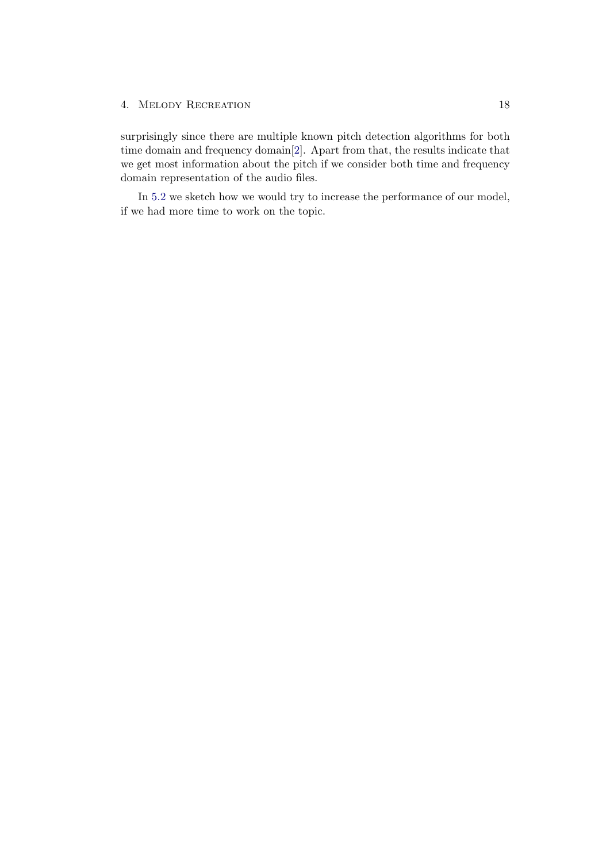#### 4. MELODY RECREATION 18

surprisingly since there are multiple known pitch detection algorithms for both time domain and frequency domain[\[2\]](#page-25-2). Apart from that, the results indicate that we get most information about the pitch if we consider both time and frequency domain representation of the audio files.

In [5.2](#page-24-0) we sketch how we would try to increase the performance of our model, if we had more time to work on the topic.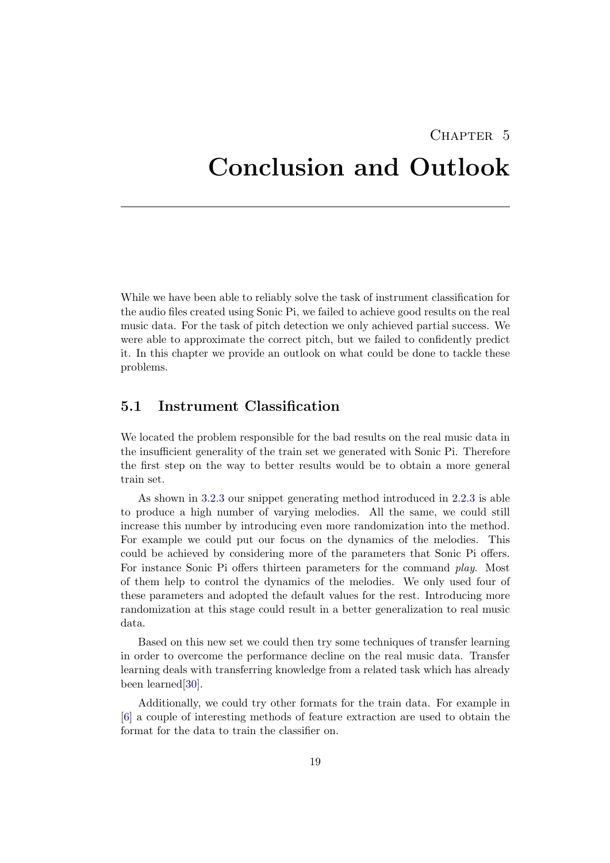# CHAPTER<sub>5</sub>

## <span id="page-23-0"></span>Conclusion and Outlook

While we have been able to reliably solve the task of instrument classification for the audio files created using Sonic Pi, we failed to achieve good results on the real music data. For the task of pitch detection we only achieved partial success. We were able to approximate the correct pitch, but we failed to confidently predict it. In this chapter we provide an outlook on what could be done to tackle these problems.

## <span id="page-23-1"></span>5.1 Instrument Classification

We located the problem responsible for the bad results on the real music data in the insufficient generality of the train set we generated with Sonic Pi. Therefore the first step on the way to better results would be to obtain a more general train set.

As shown in [3.2.3](#page-16-2) our snippet generating method introduced in [2.2.3](#page-9-0) is able to produce a high number of varying melodies. All the same, we could still increase this number by introducing even more randomization into the method. For example we could put our focus on the dynamics of the melodies. This could be achieved by considering more of the parameters that Sonic Pi offers. For instance Sonic Pi offers thirteen parameters for the command play. Most of them help to control the dynamics of the melodies. We only used four of these parameters and adopted the default values for the rest. Introducing more randomization at this stage could result in a better generalization to real music data.

Based on this new set we could then try some techniques of transfer learning in order to overcome the performance decline on the real music data. Transfer learning deals with transferring knowledge from a related task which has already been learned[\[30\]](#page-27-0).

Additionally, we could try other formats for the train data. For example in [\[6\]](#page-25-6) a couple of interesting methods of feature extraction are used to obtain the format for the data to train the classifier on.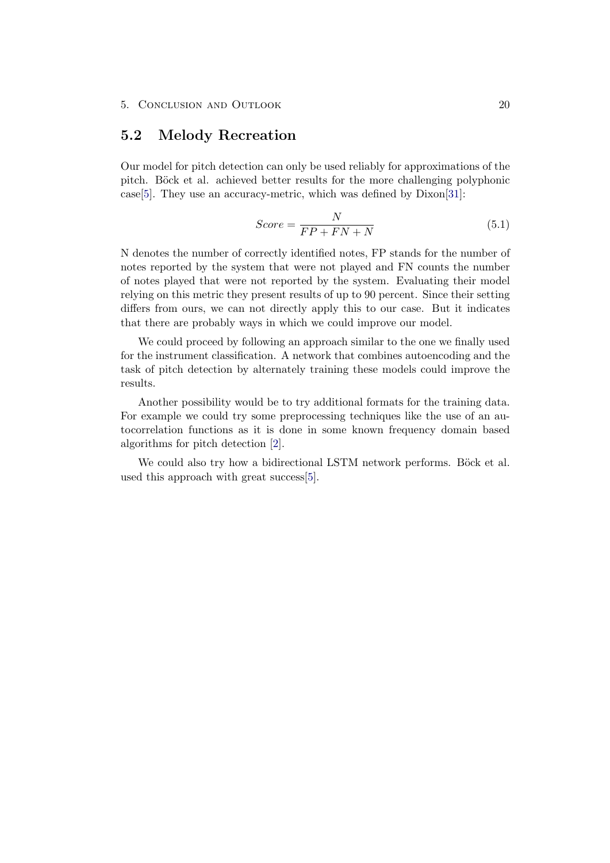### <span id="page-24-0"></span>5.2 Melody Recreation

Our model for pitch detection can only be used reliably for approximations of the pitch. Böck et al. achieved better results for the more challenging polyphonic case[\[5\]](#page-25-5). They use an accuracy-metric, which was defined by Dixon[\[31\]](#page-27-1):

$$
Score = \frac{N}{FP + FN + N} \tag{5.1}
$$

N denotes the number of correctly identified notes, FP stands for the number of notes reported by the system that were not played and FN counts the number of notes played that were not reported by the system. Evaluating their model relying on this metric they present results of up to 90 percent. Since their setting differs from ours, we can not directly apply this to our case. But it indicates that there are probably ways in which we could improve our model.

We could proceed by following an approach similar to the one we finally used for the instrument classification. A network that combines autoencoding and the task of pitch detection by alternately training these models could improve the results.

Another possibility would be to try additional formats for the training data. For example we could try some preprocessing techniques like the use of an autocorrelation functions as it is done in some known frequency domain based algorithms for pitch detection [\[2\]](#page-25-2).

We could also try how a bidirectional LSTM network performs. Böck et al. used this approach with great success[\[5\]](#page-25-5).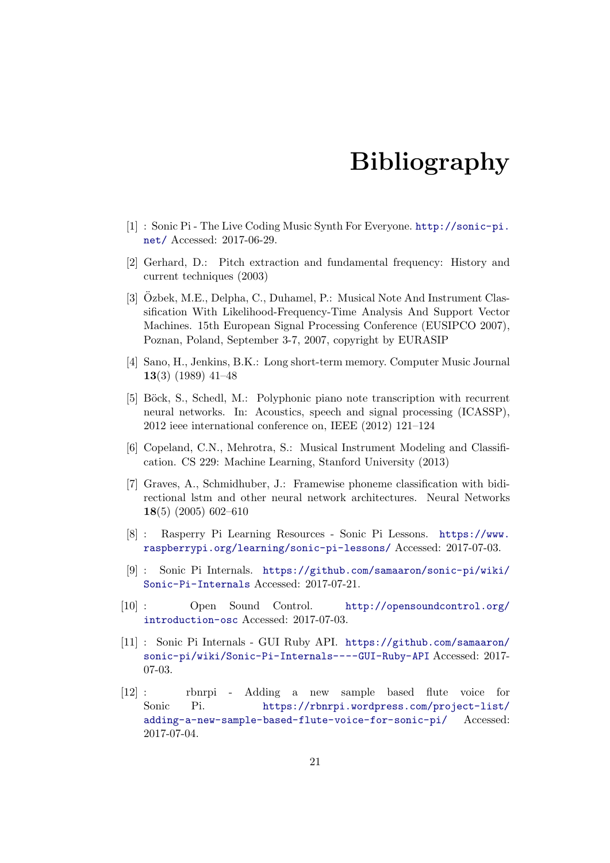# Bibliography

- <span id="page-25-1"></span><span id="page-25-0"></span>[1] : Sonic Pi - The Live Coding Music Synth For Everyone. [http://sonic-pi.](http://sonic-pi.net/) [net/](http://sonic-pi.net/) Accessed: 2017-06-29.
- <span id="page-25-2"></span>[2] Gerhard, D.: Pitch extraction and fundamental frequency: History and current techniques (2003)
- <span id="page-25-3"></span>[3] Ozbek, M.E., Delpha, C., Duhamel, P.: Musical Note And Instrument Clas- ¨ sification With Likelihood-Frequency-Time Analysis And Support Vector Machines. 15th European Signal Processing Conference (EUSIPCO 2007), Poznan, Poland, September 3-7, 2007, copyright by EURASIP
- <span id="page-25-4"></span>[4] Sano, H., Jenkins, B.K.: Long short-term memory. Computer Music Journal 13(3) (1989) 41–48
- <span id="page-25-5"></span>[5] Böck, S., Schedl, M.: Polyphonic piano note transcription with recurrent neural networks. In: Acoustics, speech and signal processing (ICASSP), 2012 ieee international conference on, IEEE (2012) 121–124
- <span id="page-25-6"></span>[6] Copeland, C.N., Mehrotra, S.: Musical Instrument Modeling and Classification. CS 229: Machine Learning, Stanford University (2013)
- <span id="page-25-7"></span>[7] Graves, A., Schmidhuber, J.: Framewise phoneme classification with bidirectional lstm and other neural network architectures. Neural Networks 18(5) (2005) 602–610
- <span id="page-25-8"></span>[8] : Rasperry Pi Learning Resources - Sonic Pi Lessons. [https://www.](https://www.raspberrypi.org/learning/sonic-pi-lessons/) [raspberrypi.org/learning/sonic-pi-lessons/](https://www.raspberrypi.org/learning/sonic-pi-lessons/) Accessed: 2017-07-03.
- <span id="page-25-9"></span>[9] : Sonic Pi Internals. [https://github.com/samaaron/sonic-pi/wiki/](https://github.com/samaaron/sonic-pi/wiki/Sonic-Pi-Internals) [Sonic-Pi-Internals](https://github.com/samaaron/sonic-pi/wiki/Sonic-Pi-Internals) Accessed: 2017-07-21.
- <span id="page-25-10"></span>[10] : Open Sound Control. [http://opensoundcontrol.org/](http://opensoundcontrol.org/introduction-osc) [introduction-osc](http://opensoundcontrol.org/introduction-osc) Accessed: 2017-07-03.
- <span id="page-25-11"></span>[11] : Sonic Pi Internals - GUI Ruby API. [https://github.com/samaaron/](https://github.com/samaaron/sonic-pi/wiki/Sonic-Pi-Internals----GUI-Ruby-API) [sonic-pi/wiki/Sonic-Pi-Internals----GUI-Ruby-API](https://github.com/samaaron/sonic-pi/wiki/Sonic-Pi-Internals----GUI-Ruby-API) Accessed: 2017- 07-03.
- <span id="page-25-12"></span>[12] : rbnrpi - Adding a new sample based flute voice for Sonic Pi. [https://rbnrpi.wordpress.com/project-list/](https://rbnrpi.wordpress.com/project-list/adding-a-new-sample-based-flute-voice-for-sonic-pi/) [adding-a-new-sample-based-flute-voice-for-sonic-pi/](https://rbnrpi.wordpress.com/project-list/adding-a-new-sample-based-flute-voice-for-sonic-pi/) Accessed: 2017-07-04.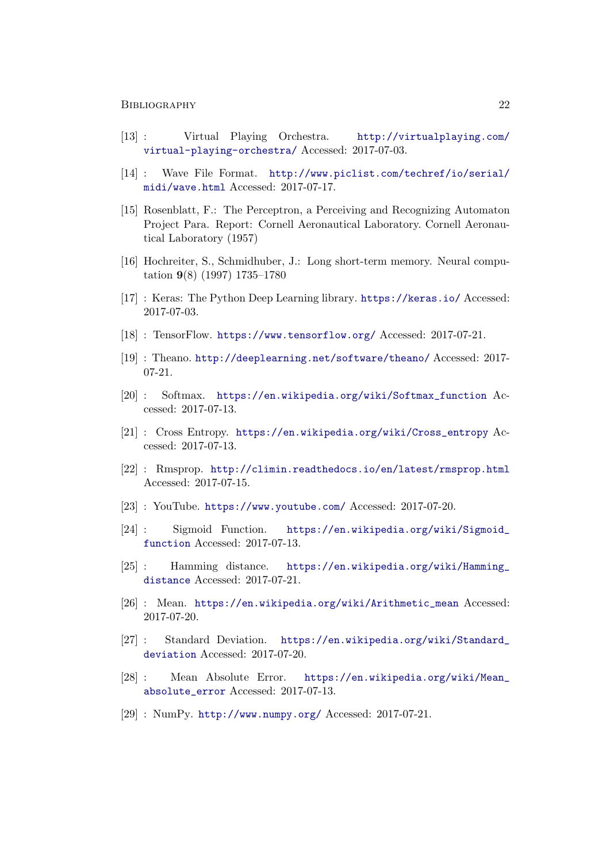#### BIBLIOGRAPHY 22

- <span id="page-26-0"></span>[13] : Virtual Playing Orchestra. [http://virtualplaying.com/](http://virtualplaying.com/virtual-playing-orchestra/) [virtual-playing-orchestra/](http://virtualplaying.com/virtual-playing-orchestra/) Accessed: 2017-07-03.
- <span id="page-26-1"></span>[14] : Wave File Format. [http://www.piclist.com/techref/io/serial/](http://www.piclist.com/techref/io/serial/midi/wave.html) [midi/wave.html](http://www.piclist.com/techref/io/serial/midi/wave.html) Accessed: 2017-07-17.
- <span id="page-26-2"></span>[15] Rosenblatt, F.: The Perceptron, a Perceiving and Recognizing Automaton Project Para. Report: Cornell Aeronautical Laboratory. Cornell Aeronautical Laboratory (1957)
- <span id="page-26-3"></span>[16] Hochreiter, S., Schmidhuber, J.: Long short-term memory. Neural computation 9(8) (1997) 1735–1780
- <span id="page-26-4"></span>[17] : Keras: The Python Deep Learning library. <https://keras.io/> Accessed: 2017-07-03.
- <span id="page-26-5"></span>[18] : TensorFlow. <https://www.tensorflow.org/> Accessed: 2017-07-21.
- <span id="page-26-6"></span>[19] : Theano. <http://deeplearning.net/software/theano/> Accessed: 2017- 07-21.
- <span id="page-26-7"></span>[20] : Softmax. [https://en.wikipedia.org/wiki/Softmax\\_function](https://en.wikipedia.org/wiki/Softmax_function) Accessed: 2017-07-13.
- <span id="page-26-8"></span>[21] : Cross Entropy. [https://en.wikipedia.org/wiki/Cross\\_entropy](https://en.wikipedia.org/wiki/Cross_entropy) Accessed: 2017-07-13.
- <span id="page-26-9"></span>[22] : Rmsprop. <http://climin.readthedocs.io/en/latest/rmsprop.html> Accessed: 2017-07-15.
- <span id="page-26-10"></span>[23] : YouTube. <https://www.youtube.com/> Accessed: 2017-07-20.
- <span id="page-26-11"></span>[24] : Sigmoid Function. [https://en.wikipedia.org/wiki/Sigmoid\\_](https://en.wikipedia.org/wiki/Sigmoid_function) [function](https://en.wikipedia.org/wiki/Sigmoid_function) Accessed: 2017-07-13.
- <span id="page-26-12"></span>[25] : Hamming distance. [https://en.wikipedia.org/wiki/Hamming\\_](https://en.wikipedia.org/wiki/Hamming_distance) [distance](https://en.wikipedia.org/wiki/Hamming_distance) Accessed: 2017-07-21.
- <span id="page-26-13"></span>[26] : Mean. [https://en.wikipedia.org/wiki/Arithmetic\\_mean](https://en.wikipedia.org/wiki/Arithmetic_mean) Accessed: 2017-07-20.
- <span id="page-26-14"></span>[27] : Standard Deviation. [https://en.wikipedia.org/wiki/Standard\\_](https://en.wikipedia.org/wiki/Standard_deviation) [deviation](https://en.wikipedia.org/wiki/Standard_deviation) Accessed: 2017-07-20.
- <span id="page-26-15"></span>[28] : Mean Absolute Error. [https://en.wikipedia.org/wiki/Mean\\_](https://en.wikipedia.org/wiki/Mean_absolute_error) [absolute\\_error](https://en.wikipedia.org/wiki/Mean_absolute_error) Accessed: 2017-07-13.
- <span id="page-26-16"></span>[29] : NumPy. <http://www.numpy.org/> Accessed: 2017-07-21.